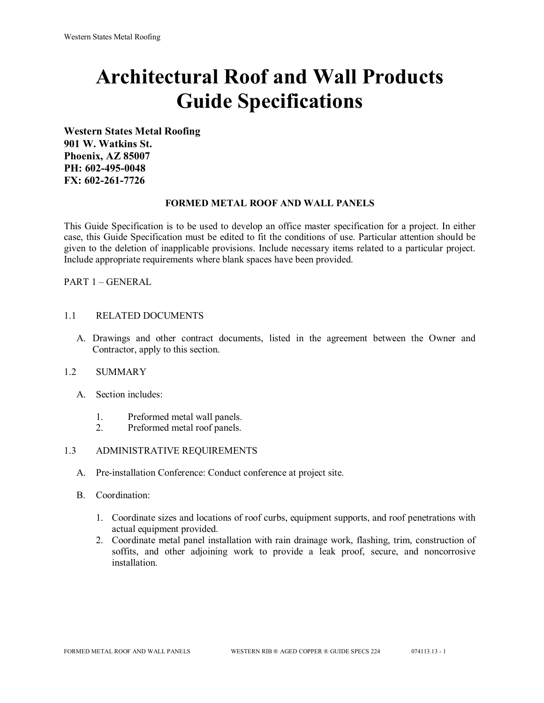# **Architectural Roof and Wall Products Guide Specifications**

**Western States Metal Roofing 901 W. Watkins St. Phoenix, AZ 85007 PH: 602-495-0048 FX: 602-261-7726**

#### **FORMED METAL ROOF AND WALL PANELS**

This Guide Specification is to be used to develop an office master specification for a project. In either case, this Guide Specification must be edited to fit the conditions of use. Particular attention should be given to the deletion of inapplicable provisions. Include necessary items related to a particular project. Include appropriate requirements where blank spaces have been provided.

PART 1 – GENERAL

#### 1.1 RELATED DOCUMENTS

A. Drawings and other contract documents, listed in the agreement between the Owner and Contractor, apply to this section.

#### 1.2 SUMMARY

- A. Section includes:
	- 1. Preformed metal wall panels.
	- 2. Preformed metal roof panels.

#### 1.3 ADMINISTRATIVE REQUIREMENTS

- A. Pre-installation Conference: Conduct conference at project site.
- B. Coordination:
	- 1. Coordinate sizes and locations of roof curbs, equipment supports, and roof penetrations with actual equipment provided.
	- 2. Coordinate metal panel installation with rain drainage work, flashing, trim, construction of soffits, and other adjoining work to provide a leak proof, secure, and noncorrosive installation.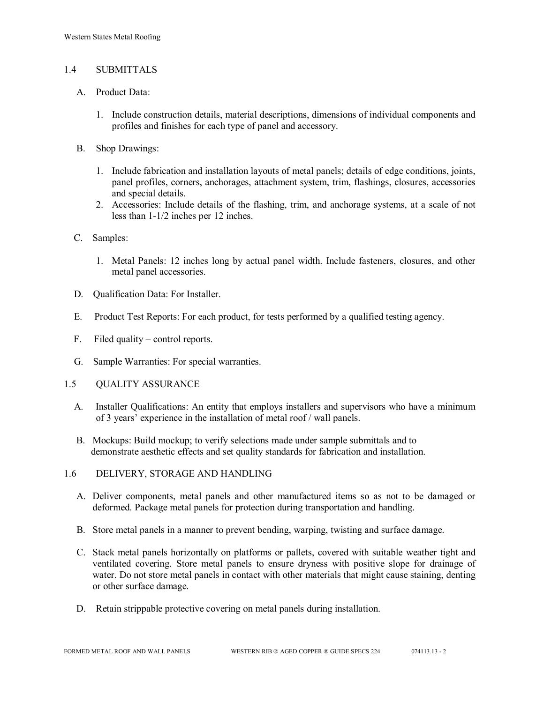#### 1.4 SUBMITTALS

- A. Product Data:
	- 1. Include construction details, material descriptions, dimensions of individual components and profiles and finishes for each type of panel and accessory.
- B. Shop Drawings:
	- 1. Include fabrication and installation layouts of metal panels; details of edge conditions, joints, panel profiles, corners, anchorages, attachment system, trim, flashings, closures, accessories and special details.
	- 2. Accessories: Include details of the flashing, trim, and anchorage systems, at a scale of not less than 1-1/2 inches per 12 inches.
- C. Samples:
	- 1. Metal Panels: 12 inches long by actual panel width. Include fasteners, closures, and other metal panel accessories.
- D. Qualification Data: For Installer.
- E. Product Test Reports: For each product, for tests performed by a qualified testing agency.
- F. Filed quality control reports.
- G. Sample Warranties: For special warranties.
- 1.5 QUALITY ASSURANCE
	- A. Installer Qualifications: An entity that employs installers and supervisors who have a minimum of 3 years' experience in the installation of metal roof / wall panels.
	- B. Mockups: Build mockup; to verify selections made under sample submittals and to demonstrate aesthetic effects and set quality standards for fabrication and installation.
- 1.6 DELIVERY, STORAGE AND HANDLING
	- A. Deliver components, metal panels and other manufactured items so as not to be damaged or deformed. Package metal panels for protection during transportation and handling.
	- B. Store metal panels in a manner to prevent bending, warping, twisting and surface damage.
	- C. Stack metal panels horizontally on platforms or pallets, covered with suitable weather tight and ventilated covering. Store metal panels to ensure dryness with positive slope for drainage of water. Do not store metal panels in contact with other materials that might cause staining, denting or other surface damage.
	- D. Retain strippable protective covering on metal panels during installation.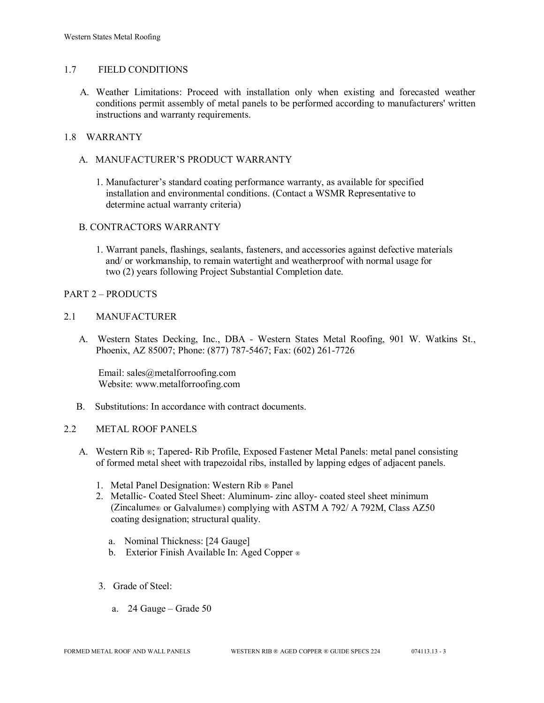#### 1.7 FIELD CONDITIONS

A. Weather Limitations: Proceed with installation only when existing and forecasted weather conditions permit assembly of metal panels to be performed according to manufacturers' written instructions and warranty requirements.

## 1.8 WARRANTY

- A. MANUFACTURER'S PRODUCT WARRANTY
	- 1. Manufacturer's standard coating performance warranty, as available for specified installation and environmental conditions. (Contact a WSMR Representative to determine actual warranty criteria)

#### B. CONTRACTORS WARRANTY

1. Warrant panels, flashings, sealants, fasteners, and accessories against defective materials and/ or workmanship, to remain watertight and weatherproof with normal usage for two (2) years following Project Substantial Completion date.

#### PART 2 – PRODUCTS

#### 2.1 MANUFACTURER

 A. Western States Decking, Inc., DBA - Western States Metal Roofing, 901 W. Watkins St., Phoenix, AZ 85007; Phone: (877) 787-5467; Fax: (602) 261-7726

Email: sales@metalforroofing.com Website: www.metalforroofing.com

B. Substitutions: In accordance with contract documents.

#### 2.2 METAL ROOF PANELS

- A. Western Rib ®; Tapered- Rib Profile, Exposed Fastener Metal Panels: metal panel consisting of formed metal sheet with trapezoidal ribs, installed by lapping edges of adjacent panels.
	- 1. Metal Panel Designation: Western Rib ® Panel
	- 2. Metallic- Coated Steel Sheet: Aluminum- zinc alloy- coated steel sheet minimum (Zincalume® or Galvalume®) complying with ASTM A 792/ A 792M, Class AZ50 coating designation; structural quality.
		- a. Nominal Thickness: [24 Gauge]
		- b. Exterior Finish Available In: Aged Copper ®
	- 3. Grade of Steel:
		- a. 24 Gauge Grade 50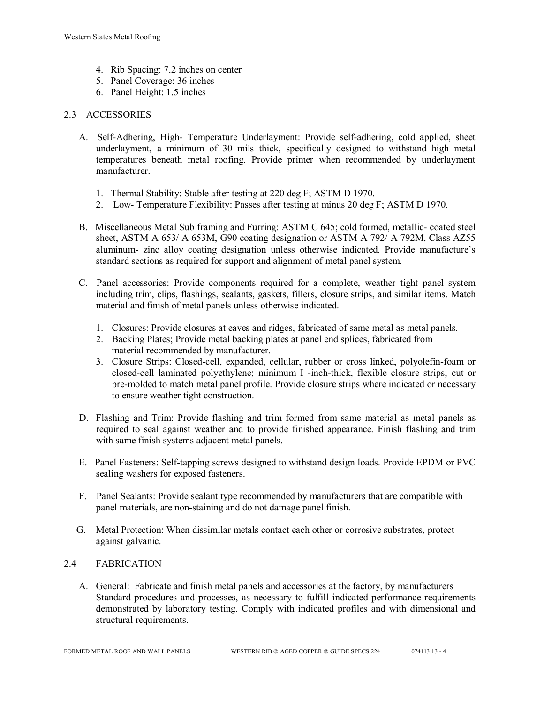- 4. Rib Spacing: 7.2 inches on center
- 5. Panel Coverage: 36 inches
- 6. Panel Height: 1.5 inches

#### 2.3 ACCESSORIES

- A. Self-Adhering, High- Temperature Underlayment: Provide self-adhering, cold applied, sheet underlayment, a minimum of 30 mils thick, specifically designed to withstand high metal temperatures beneath metal roofing. Provide primer when recommended by underlayment manufacturer.
	- 1. Thermal Stability: Stable after testing at 220 deg F; ASTM D 1970.
	- 2. Low- Temperature Flexibility: Passes after testing at minus 20 deg F; ASTM D 1970.
- B. Miscellaneous Metal Sub framing and Furring: ASTM C 645; cold formed, metallic- coated steel sheet, ASTM A 653/ A 653M, G90 coating designation or ASTM A 792/ A 792M, Class AZ55 aluminum- zinc alloy coating designation unless otherwise indicated. Provide manufacture's standard sections as required for support and alignment of metal panel system.
- C. Panel accessories: Provide components required for a complete, weather tight panel system including trim, clips, flashings, sealants, gaskets, fillers, closure strips, and similar items. Match material and finish of metal panels unless otherwise indicated.
	- 1. Closures: Provide closures at eaves and ridges, fabricated of same metal as metal panels.
	- 2. Backing Plates; Provide metal backing plates at panel end splices, fabricated from material recommended by manufacturer.
	- 3. Closure Strips: Closed-cell, expanded, cellular, rubber or cross linked, polyolefin-foam or closed-cell laminated polyethylene; minimum I -inch-thick, flexible closure strips; cut or pre-molded to match metal panel profile. Provide closure strips where indicated or necessary to ensure weather tight construction.
- D. Flashing and Trim: Provide flashing and trim formed from same material as metal panels as required to seal against weather and to provide finished appearance. Finish flashing and trim with same finish systems adjacent metal panels.
- E. Panel Fasteners: Self-tapping screws designed to withstand design loads. Provide EPDM or PVC sealing washers for exposed fasteners.
- F. Panel Sealants: Provide sealant type recommended by manufacturers that are compatible with panel materials, are non-staining and do not damage panel finish.
- G. Metal Protection: When dissimilar metals contact each other or corrosive substrates, protect against galvanic.

#### 2.4 FABRICATION

 A. General: Fabricate and finish metal panels and accessories at the factory, by manufacturers Standard procedures and processes, as necessary to fulfill indicated performance requirements demonstrated by laboratory testing. Comply with indicated profiles and with dimensional and structural requirements.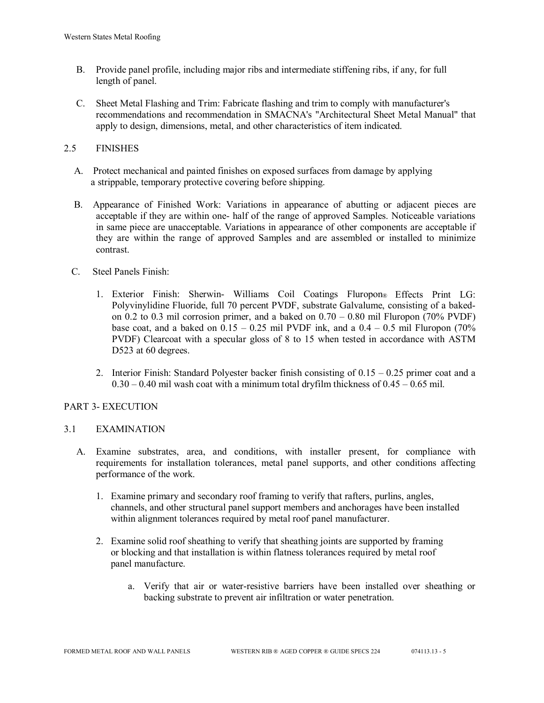- B. Provide panel profile, including major ribs and intermediate stiffening ribs, if any, for full length of panel.
- C. Sheet Metal Flashing and Trim: Fabricate flashing and trim to comply with manufacturer's recommendations and recommendation in SMACNA's "Architectural Sheet Metal Manual" that apply to design, dimensions, metal, and other characteristics of item indicated.

## 2.5 FINISHES

- A. Protect mechanical and painted finishes on exposed surfaces from damage by applying a strippable, temporary protective covering before shipping.
- B. Appearance of Finished Work: Variations in appearance of abutting or adjacent pieces are acceptable if they are within one- half of the range of approved Samples. Noticeable variations in same piece are unacceptable. Variations in appearance of other components are acceptable if they are within the range of approved Samples and are assembled or installed to minimize contrast.
- C. Steel Panels Finish:
	- 1. Exterior Finish: Sherwin- Williams Coil Coatings Fluropon® Effects Print LG: Polyvinylidine Fluoride, full 70 percent PVDF, substrate Galvalume, consisting of a bakedon 0.2 to 0.3 mil corrosion primer, and a baked on 0.70 – 0.80 mil Fluropon (70% PVDF) base coat, and a baked on  $0.15 - 0.25$  mil PVDF ink, and a  $0.4 - 0.5$  mil Fluropon (70%) PVDF) Clearcoat with a specular gloss of 8 to 15 when tested in accordance with ASTM D523 at 60 degrees.
	- 2. Interior Finish: Standard Polyester backer finish consisting of  $0.15 0.25$  primer coat and a  $0.30 - 0.40$  mil wash coat with a minimum total dryfilm thickness of  $0.45 - 0.65$  mil.

#### PART 3- EXECUTION

#### 3.1 EXAMINATION

- A. Examine substrates, area, and conditions, with installer present, for compliance with requirements for installation tolerances, metal panel supports, and other conditions affecting performance of the work.
	- 1. Examine primary and secondary roof framing to verify that rafters, purlins, angles, channels, and other structural panel support members and anchorages have been installed within alignment tolerances required by metal roof panel manufacturer.
	- 2. Examine solid roof sheathing to verify that sheathing joints are supported by framing or blocking and that installation is within flatness tolerances required by metal roof panel manufacture.
		- a. Verify that air or water-resistive barriers have been installed over sheathing or backing substrate to prevent air infiltration or water penetration.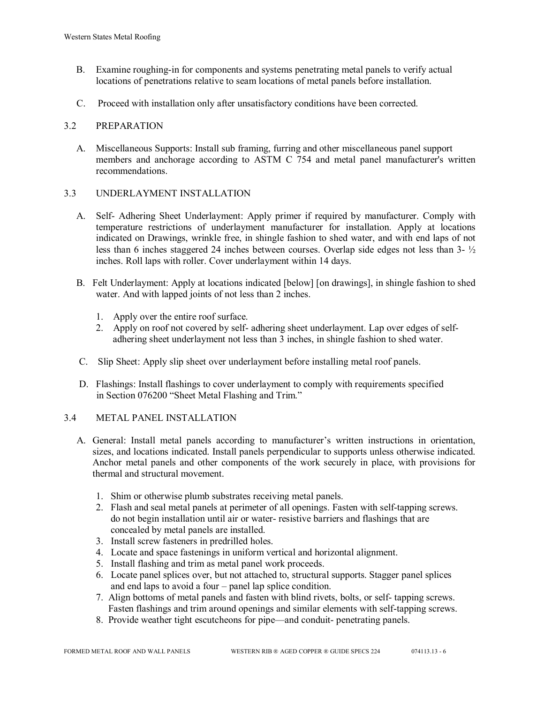- B. Examine roughing-in for components and systems penetrating metal panels to verify actual locations of penetrations relative to seam locations of metal panels before installation.
- C. Proceed with installation only after unsatisfactory conditions have been corrected.

#### 3.2 PREPARATION

 A. Miscellaneous Supports: Install sub framing, furring and other miscellaneous panel support members and anchorage according to ASTM C 754 and metal panel manufacturer's written recommendations.

## 3.3 UNDERLAYMENT INSTALLATION

- A. Self- Adhering Sheet Underlayment: Apply primer if required by manufacturer. Comply with temperature restrictions of underlayment manufacturer for installation. Apply at locations indicated on Drawings, wrinkle free, in shingle fashion to shed water, and with end laps of not less than 6 inches staggered 24 inches between courses. Overlap side edges not less than 3- ½ inches. Roll laps with roller. Cover underlayment within 14 days.
- B. Felt Underlayment: Apply at locations indicated [below] [on drawings], in shingle fashion to shed water. And with lapped joints of not less than 2 inches.
	- 1. Apply over the entire roof surface.
	- 2. Apply on roof not covered by self- adhering sheet underlayment. Lap over edges of self adhering sheet underlayment not less than 3 inches, in shingle fashion to shed water.
- C. Slip Sheet: Apply slip sheet over underlayment before installing metal roof panels.
- D. Flashings: Install flashings to cover underlayment to comply with requirements specified in Section 076200 "Sheet Metal Flashing and Trim."

#### 3.4 METAL PANEL INSTALLATION

- A. General: Install metal panels according to manufacturer's written instructions in orientation, sizes, and locations indicated. Install panels perpendicular to supports unless otherwise indicated. Anchor metal panels and other components of the work securely in place, with provisions for thermal and structural movement.
	- 1. Shim or otherwise plumb substrates receiving metal panels.
	- 2. Flash and seal metal panels at perimeter of all openings. Fasten with self-tapping screws. do not begin installation until air or water- resistive barriers and flashings that are concealed by metal panels are installed.
	- 3. Install screw fasteners in predrilled holes.
	- 4. Locate and space fastenings in uniform vertical and horizontal alignment.
	- 5. Install flashing and trim as metal panel work proceeds.
	- 6. Locate panel splices over, but not attached to, structural supports. Stagger panel splices and end laps to avoid a four – panel lap splice condition.
	- 7. Align bottoms of metal panels and fasten with blind rivets, bolts, or self- tapping screws. Fasten flashings and trim around openings and similar elements with self-tapping screws.
	- 8. Provide weather tight escutcheons for pipe—and conduit- penetrating panels.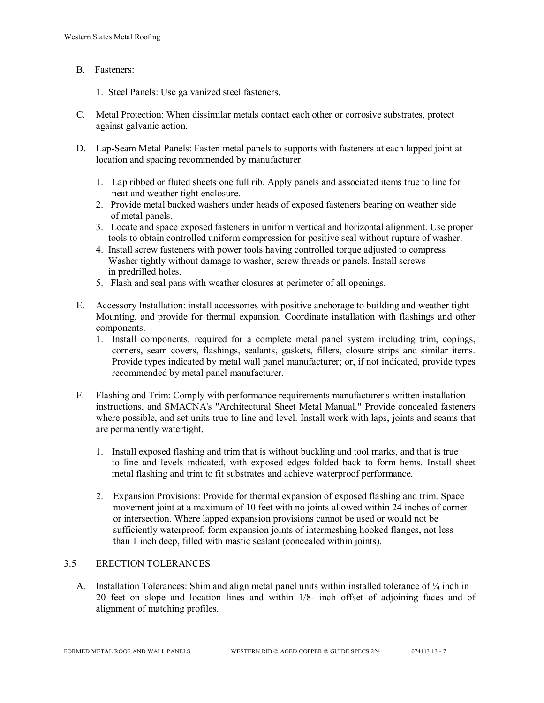#### B. Fasteners:

- 1. Steel Panels: Use galvanized steel fasteners.
- C. Metal Protection: When dissimilar metals contact each other or corrosive substrates, protect against galvanic action.
- D. Lap-Seam Metal Panels: Fasten metal panels to supports with fasteners at each lapped joint at location and spacing recommended by manufacturer.
	- 1. Lap ribbed or fluted sheets one full rib. Apply panels and associated items true to line for neat and weather tight enclosure.
	- 2. Provide metal backed washers under heads of exposed fasteners bearing on weather side of metal panels.
	- 3. Locate and space exposed fasteners in uniform vertical and horizontal alignment. Use proper tools to obtain controlled uniform compression for positive seal without rupture of washer.
	- 4. Install screw fasteners with power tools having controlled torque adjusted to compress Washer tightly without damage to washer, screw threads or panels. Install screws in predrilled holes.
	- 5. Flash and seal pans with weather closures at perimeter of all openings.
- E. Accessory Installation: install accessories with positive anchorage to building and weather tight Mounting, and provide for thermal expansion. Coordinate installation with flashings and other components.
	- 1. Install components, required for a complete metal panel system including trim, copings, corners, seam covers, flashings, sealants, gaskets, fillers, closure strips and similar items. Provide types indicated by metal wall panel manufacturer; or, if not indicated, provide types recommended by metal panel manufacturer.
- F. Flashing and Trim: Comply with performance requirements manufacturer's written installation instructions, and SMACNA's "Architectural Sheet Metal Manual." Provide concealed fasteners where possible, and set units true to line and level. Install work with laps, joints and seams that are permanently watertight.
	- 1. Install exposed flashing and trim that is without buckling and tool marks, and that is true to line and levels indicated, with exposed edges folded back to form hems. Install sheet metal flashing and trim to fit substrates and achieve waterproof performance.
	- 2. Expansion Provisions: Provide for thermal expansion of exposed flashing and trim. Space movement joint at a maximum of 10 feet with no joints allowed within 24 inches of corner or intersection. Where lapped expansion provisions cannot be used or would not be sufficiently waterproof, form expansion joints of intermeshing hooked flanges, not less than 1 inch deep, filled with mastic sealant (concealed within joints).

#### 3.5 ERECTION TOLERANCES

A. Installation Tolerances: Shim and align metal panel units within installed tolerance of  $\frac{1}{4}$  inch in 20 feet on slope and location lines and within 1/8- inch offset of adjoining faces and of alignment of matching profiles.